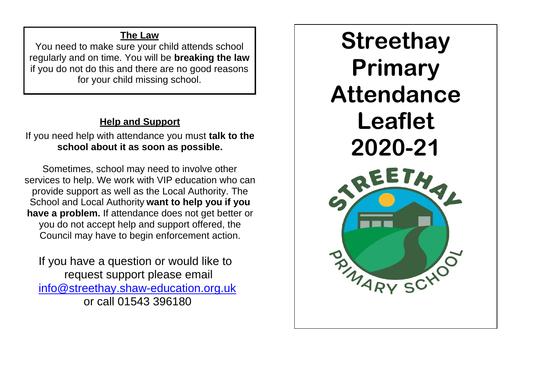## **The Law**

You need to make sure your child attends school regularly and on time. You will be **breaking the law**  if you do not do this and there are no good reasons for your child missing school.

# **Help and Support**

If you need help with attendance you must **talk to the school about it as soon as possible.**

Sometimes, school may need to involve other services to help. We work with VIP education who can provide support as well as the Local Authority. The School and Local Authority **want to help you if you have a problem.** If attendance does not get better or you do not accept help and support offered, the Council may have to begin enforcement action.

 If you have a question or would like to request support please email [info@streethay.shaw-education.org.uk](mailto:info@streethay.shaw-education.org.uk) or call 01543 396180

**Streethay Primary Attendance Leaflet 2020-21**EETA B MARY SCHO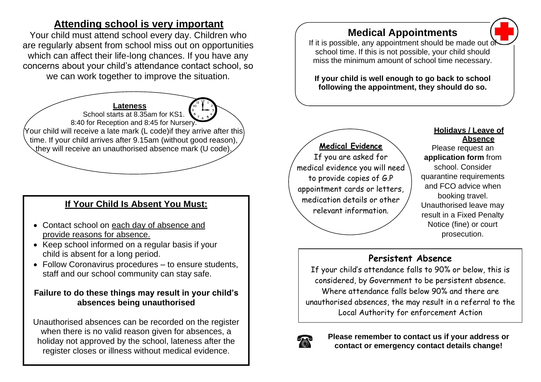# **Attending school is very important**

Your child must attend school every day. Children who are regularly absent from school miss out on opportunities which can affect their life-long chances. If you have any concerns about your child's attendance contact school, so we can work together to improve the situation.

**Lateness** School starts at 8.35am for KS1. 8:40 for Reception and 8:45 for Nursery. Your child will receive a late mark (L code)if they arrive after this time. If your child arrives after 9.15am (without good reason), they will receive an unauthorised absence mark (U code). **Medical Evidence**

# relevant information. **If Your Child Is Absent You Must:**

- Contact school on each day of absence and provide reasons for absence.
- Keep school informed on a regular basis if your child is absent for a long period.
- Follow Coronavirus procedures to ensure students, staff and our school community can stay safe.

#### **Failure to do these things may result in your child's absences being unauthorised**

Unauthorised absences can be recorded on the register when there is no valid reason given for absences, a holiday not approved by the school, lateness after the register closes or illness without medical evidence.

### **Medical Appointments**

If it is possible, any appointment should be made out  $\ddot{c}$ school time. If this is not possible, your child should miss the minimum amount of school time necessary.

**If your child is well enough to go back to school following the appointment, they should do so.**

If you are asked for medical evidence you will need to provide copies of G.P appointment cards or letters, medication details or other

#### **Holidays / Leave of Absence**

Please request an **application form** from school. Consider quarantine requirements and FCO advice when booking travel. Unauthorised leave may result in a Fixed Penalty Notice (fine) or court prosecution.

#### **Persistent Absence**

If your child's attendance falls to 90% or below, this is considered, by Government to be persistent absence. Where attendance falls below 90% and there are unauthorised absences, the may result in a referral to the Local Authority for enforcement Action



**Please remember to contact us if your address or contact or emergency contact details change!**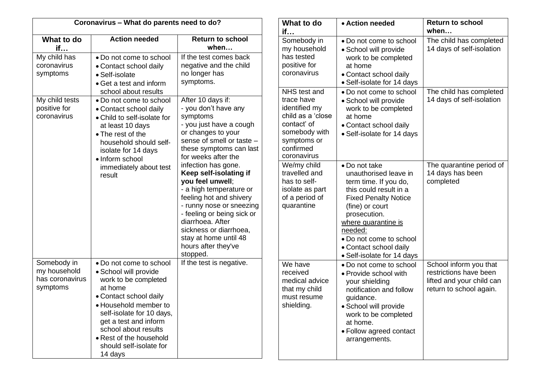| Coronavirus - What do parents need to do?                  |                                                                                                                                                                                                                                                                                       |                                                                                                                                                                                                                                                                                                                  | What to do<br>if                                                                                                                                                                                                 | $\bullet$ A                                                                                        |
|------------------------------------------------------------|---------------------------------------------------------------------------------------------------------------------------------------------------------------------------------------------------------------------------------------------------------------------------------------|------------------------------------------------------------------------------------------------------------------------------------------------------------------------------------------------------------------------------------------------------------------------------------------------------------------|------------------------------------------------------------------------------------------------------------------------------------------------------------------------------------------------------------------|----------------------------------------------------------------------------------------------------|
| What to do<br>if                                           | <b>Action needed</b>                                                                                                                                                                                                                                                                  | <b>Return to school</b><br>when                                                                                                                                                                                                                                                                                  | Somebody in<br>my household                                                                                                                                                                                      | $\bullet$ D<br>$\bullet$ S                                                                         |
| My child has<br>coronavirus<br>symptoms                    | • Do not come to school<br>• Contact school daily<br>• Self-isolate<br>• Get a test and inform<br>school about results                                                                                                                                                                | If the test comes back<br>negative and the child<br>no longer has<br>symptoms.                                                                                                                                                                                                                                   | has tested<br>positive for<br>coronavirus<br>NHS test and                                                                                                                                                        | w<br>at<br>$\bullet$ C<br>$\bullet$ S<br>$\bullet$ D                                               |
| My child tests<br>positive for<br>coronavirus              | • Do not come to school<br>• Contact school daily<br>• Child to self-isolate for<br>at least 10 days<br>• The rest of the<br>household should self-<br>isolate for 14 days<br>• Inform school<br>immediately about test<br>result                                                     | After 10 days if:<br>- you don't have any<br>symptoms<br>- you just have a cough<br>or changes to your<br>sense of smell or taste -<br>these symptoms can last<br>for weeks after the<br>infection has gone.<br>Keep self-isolating if<br>you feel unwell;<br>- a high temperature or<br>feeling hot and shivery | trace have<br>identified my<br>child as a 'close<br>contact' of<br>somebody with<br>symptoms or<br>confirmed<br>coronavirus<br>We/my child<br>travelled and<br>has to self-<br>isolate as part<br>of a period of | $\bullet$ S<br>w<br>at<br>$\bullet$ C<br>$\bullet$ S<br>$\bullet$ D<br><b>ur</b><br>te<br>th<br>Fi |
|                                                            |                                                                                                                                                                                                                                                                                       | - runny nose or sneezing<br>- feeling or being sick or<br>diarrhoea. After<br>sickness or diarrhoea,<br>stay at home until 48<br>hours after they've<br>stopped.                                                                                                                                                 | quarantine                                                                                                                                                                                                       | (fi<br>pr<br>wh<br>nee<br>$\bullet$ D<br>$\bullet$ C<br>$\bullet$ S                                |
| Somebody in<br>my household<br>has coronavirus<br>symptoms | • Do not come to school<br>• School will provide<br>work to be completed<br>at home<br>• Contact school daily<br>• Household member to<br>self-isolate for 10 days,<br>get a test and inform<br>school about results<br>• Rest of the household<br>should self-isolate for<br>14 days | If the test is negative.                                                                                                                                                                                                                                                                                         | We have<br>received<br>medical advice<br>that my child<br>must resume<br>shielding.                                                                                                                              | $\bullet$ D<br>$\bullet$ P<br>y<br>n<br>gι<br>$\bullet$ S<br>w<br>at<br>$\bullet$ F<br>a           |

| <b>Vhat to do</b>                                                                                                                        | • Action needed                                                                                                                                                                                                                                                                  | <b>Return to school</b>                                                                                  |
|------------------------------------------------------------------------------------------------------------------------------------------|----------------------------------------------------------------------------------------------------------------------------------------------------------------------------------------------------------------------------------------------------------------------------------|----------------------------------------------------------------------------------------------------------|
|                                                                                                                                          |                                                                                                                                                                                                                                                                                  | when                                                                                                     |
| omebody in<br>ny household<br>as tested<br>ositive for<br>oronavirus                                                                     | • Do not come to school<br>• School will provide<br>work to be completed<br>at home<br>• Contact school daily<br>• Self-isolate for 14 days                                                                                                                                      | The child has completed<br>14 days of self-isolation                                                     |
| <b>HS</b> test and<br>ace have<br>lentified my<br>hild as a 'close<br>ontact' of<br>omebody with<br>ymptoms or<br>onfirmed<br>oronavirus | • Do not come to school<br>• School will provide<br>work to be completed<br>at home<br>• Contact school daily<br>• Self-isolate for 14 days                                                                                                                                      | The child has completed<br>14 days of self-isolation                                                     |
| /e/my child<br>avelled and<br>as to self-<br>olate as part<br>f a period of<br>uarantine                                                 | • Do not take<br>unauthorised leave in<br>term time. If you do,<br>this could result in a<br><b>Fixed Penalty Notice</b><br>(fine) or court<br>prosecution.<br>where quarantine is<br>needed:<br>• Do not come to school<br>• Contact school daily<br>• Self-isolate for 14 days | The quarantine period of<br>14 days has been<br>completed                                                |
| le have<br>eceived<br>edical advice<br>iat my child<br>nust resume<br>hielding.                                                          | • Do not come to school<br>• Provide school with<br>your shielding<br>notification and follow<br>guidance.<br>· School will provide<br>work to be completed<br>at home.<br>· Follow agreed contact<br>arrangements.                                                              | School inform you that<br>restrictions have been<br>lifted and your child can<br>return to school again. |